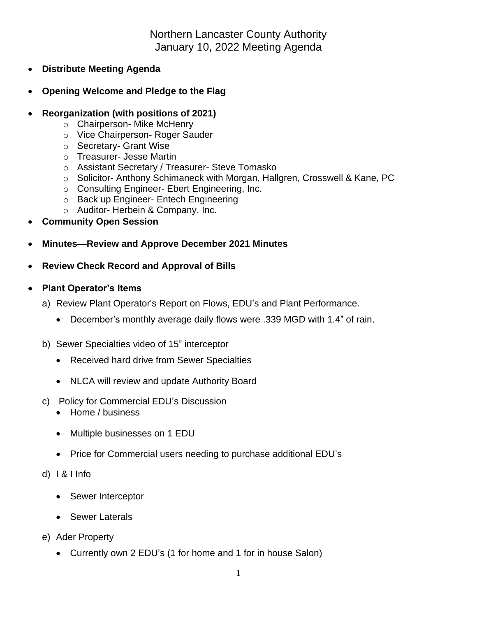Northern Lancaster County Authority January 10, 2022 Meeting Agenda

- **Distribute Meeting Agenda**
- **Opening Welcome and Pledge to the Flag**
- **Reorganization (with positions of 2021)**
	- o Chairperson- Mike McHenry
	- o Vice Chairperson- Roger Sauder
	- o Secretary- Grant Wise
	- o Treasurer- Jesse Martin
	- o Assistant Secretary / Treasurer- Steve Tomasko
	- o Solicitor- Anthony Schimaneck with Morgan, Hallgren, Crosswell & Kane, PC
	- o Consulting Engineer- Ebert Engineering, Inc.
	- o Back up Engineer- Entech Engineering
	- o Auditor- Herbein & Company, Inc.
- **Community Open Session**
- **Minutes—Review and Approve December 2021 Minutes**
- **Review Check Record and Approval of Bills**
- **Plant Operator's Items**
	- a) Review Plant Operator's Report on Flows, EDU's and Plant Performance.
		- December's monthly average daily flows were .339 MGD with 1.4" of rain.
	- b) Sewer Specialties video of 15" interceptor
		- Received hard drive from Sewer Specialties
		- NLCA will review and update Authority Board
	- c) Policy for Commercial EDU's Discussion
		- Home / business
		- Multiple businesses on 1 EDU
		- Price for Commercial users needing to purchase additional EDU's
	- d) I & I Info
		- Sewer Interceptor
		- Sewer Laterals
	- e) Ader Property
		- Currently own 2 EDU's (1 for home and 1 for in house Salon)